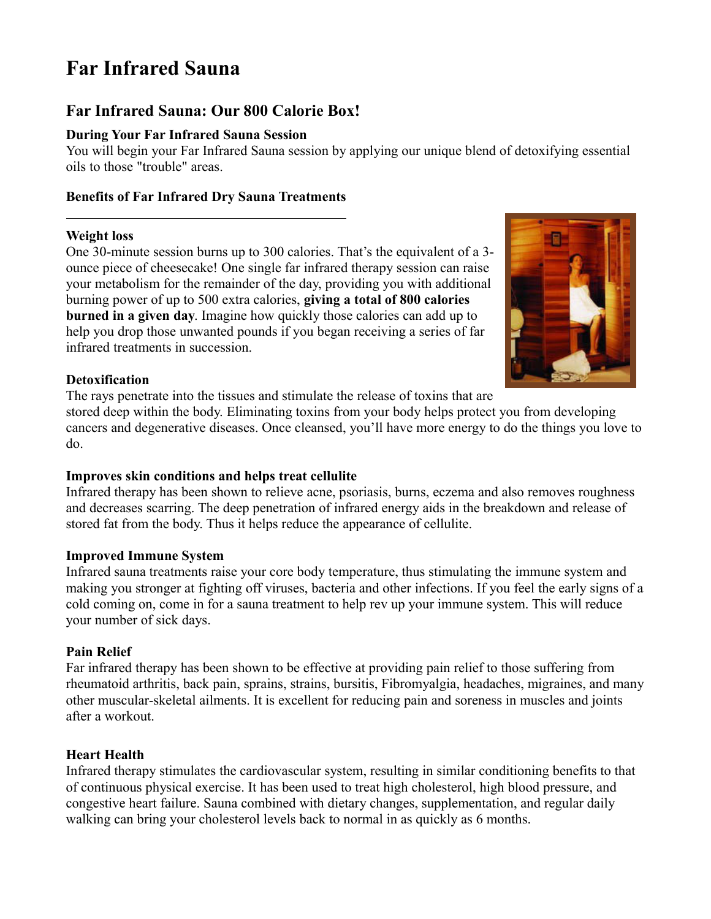# **Far Infrared Sauna**

## **Far Infrared Sauna: Our 800 Calorie Box!**

#### **During Your Far Infrared Sauna Session**

You will begin your Far Infrared Sauna session by applying our unique blend of detoxifying essential oils to those "trouble" areas.

#### **Benefits of Far Infrared Dry Sauna Treatments**

#### **Weight loss**

One 30-minute session burns up to 300 calories. That's the equivalent of a 3 ounce piece of cheesecake! One single far infrared therapy session can raise your metabolism for the remainder of the day, providing you with additional burning power of up to 500 extra calories, **giving a total of 800 calories burned in a given day**. Imagine how quickly those calories can add up to help you drop those unwanted pounds if you began receiving a series of far infrared treatments in succession.



#### **Detoxification**

The rays penetrate into the tissues and stimulate the release of toxins that are

stored deep within the body. Eliminating toxins from your body helps protect you from developing cancers and degenerative diseases. Once cleansed, you'll have more energy to do the things you love to do.

#### **Improves skin conditions and helps treat cellulite**

Infrared therapy has been shown to relieve acne, psoriasis, burns, eczema and also removes roughness and decreases scarring. The deep penetration of infrared energy aids in the breakdown and release of stored fat from the body. Thus it helps reduce the appearance of cellulite.

#### **Improved Immune System**

Infrared sauna treatments raise your core body temperature, thus stimulating the immune system and making you stronger at fighting off viruses, bacteria and other infections. If you feel the early signs of a cold coming on, come in for a sauna treatment to help rev up your immune system. This will reduce your number of sick days.

#### **Pain Relief**

Far infrared therapy has been shown to be effective at providing pain relief to those suffering from rheumatoid arthritis, back pain, sprains, strains, bursitis, Fibromyalgia, headaches, migraines, and many other muscular-skeletal ailments. It is excellent for reducing pain and soreness in muscles and joints after a workout.

### **Heart Health**

Infrared therapy stimulates the cardiovascular system, resulting in similar conditioning benefits to that of continuous physical exercise. It has been used to treat high cholesterol, high blood pressure, and congestive heart failure. Sauna combined with dietary changes, supplementation, and regular daily walking can bring your cholesterol levels back to normal in as quickly as 6 months.